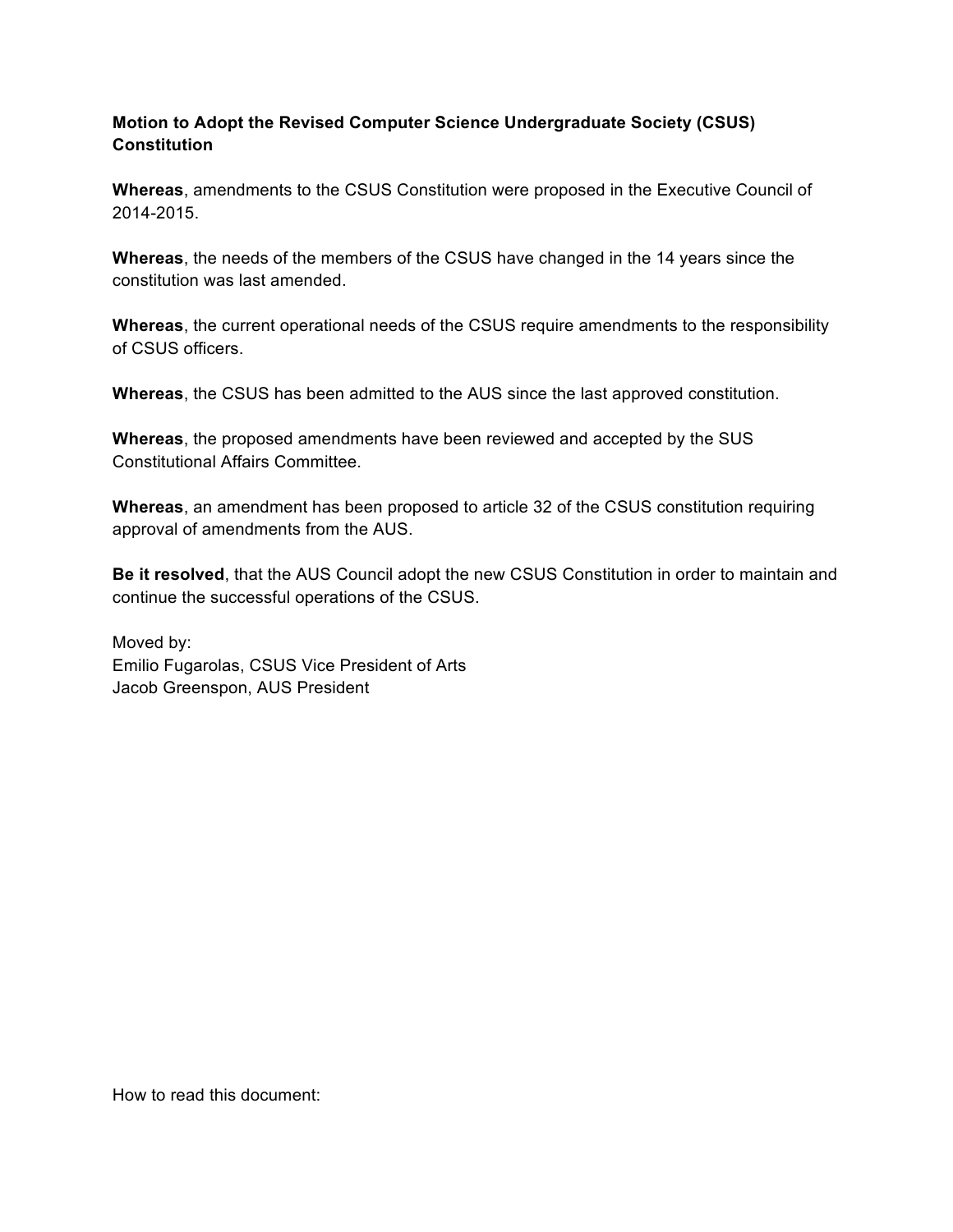### **Motion to Adopt the Revised Computer Science Undergraduate Society (CSUS) Constitution**

**Whereas**, amendments to the CSUS Constitution were proposed in the Executive Council of 2014-2015.

**Whereas**, the needs of the members of the CSUS have changed in the 14 years since the constitution was last amended.

**Whereas**, the current operational needs of the CSUS require amendments to the responsibility of CSUS officers.

**Whereas**, the CSUS has been admitted to the AUS since the last approved constitution.

**Whereas**, the proposed amendments have been reviewed and accepted by the SUS Constitutional Affairs Committee.

**Whereas**, an amendment has been proposed to article 32 of the CSUS constitution requiring approval of amendments from the AUS.

**Be it resolved**, that the AUS Council adopt the new CSUS Constitution in order to maintain and continue the successful operations of the CSUS.

Moved by: Emilio Fugarolas, CSUS Vice President of Arts Jacob Greenspon, AUS President

How to read this document: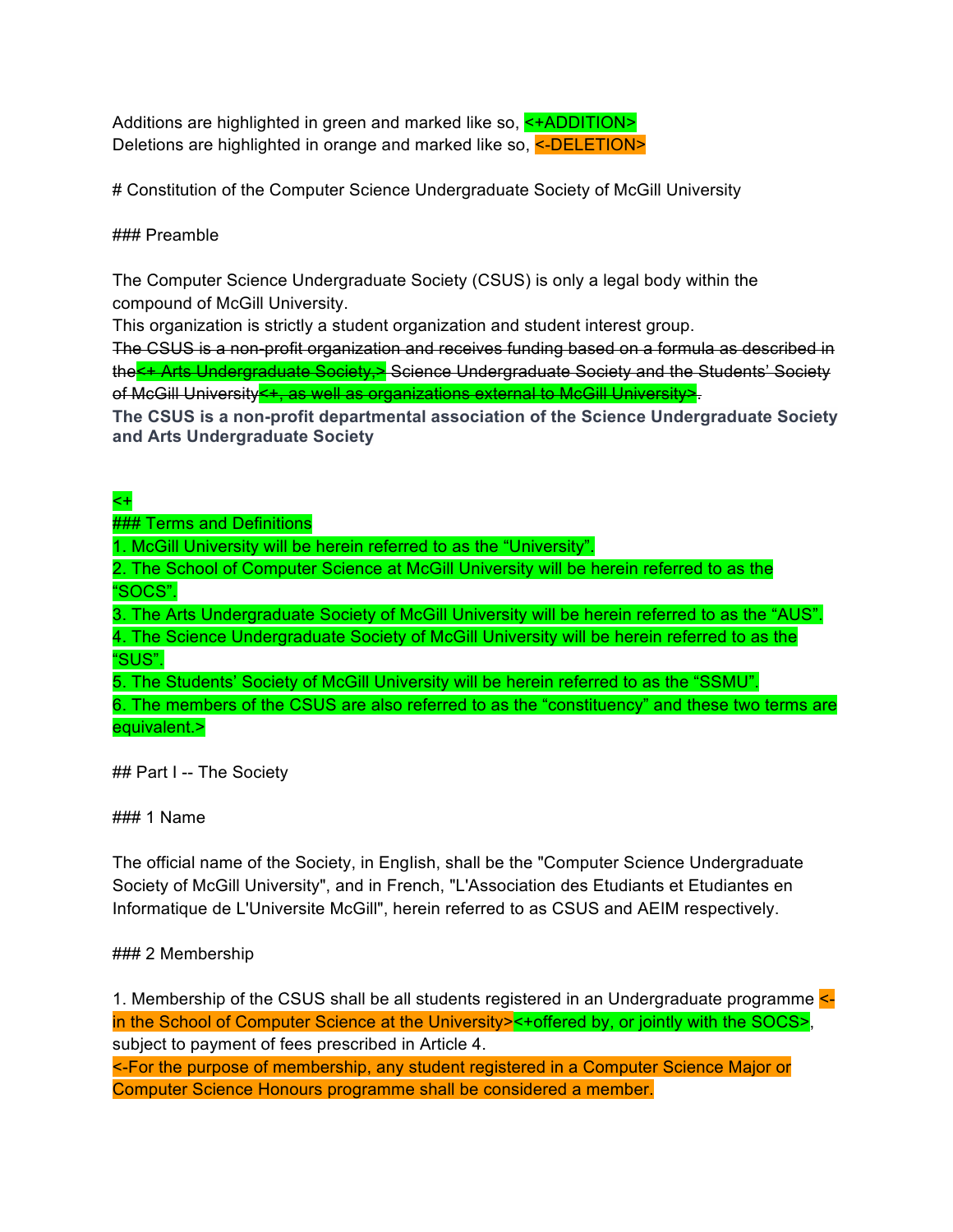Additions are highlighted in green and marked like so, <+ADDITION> Deletions are highlighted in orange and marked like so, <-DELETION>

# Constitution of the Computer Science Undergraduate Society of McGill University

### ### Preamble

The Computer Science Undergraduate Society (CSUS) is only a legal body within the compound of McGill University.

This organization is strictly a student organization and student interest group.

The CSUS is a non-profit organization and receives funding based on a formula as described in the<+ Arts Undergraduate Society,> Science Undergraduate Society and the Students' Society of McGill University<+, as well as organizations external to McGill University>.

**The CSUS is a non-profit departmental association of the Science Undergraduate Society and Arts Undergraduate Society**

# <+

**### Terms and Definitions** 

1. McGill University will be herein referred to as the "University".

2. The School of Computer Science at McGill University will be herein referred to as the "SOCS".

3. The Arts Undergraduate Society of McGill University will be herein referred to as the "AUS". 4. The Science Undergraduate Society of McGill University will be herein referred to as the "SUS".

5. The Students' Society of McGill University will be herein referred to as the "SSMU".

6. The members of the CSUS are also referred to as the "constituency" and these two terms are equivalent.>

## Part I -- The Society

### 1 Name

The official name of the Society, in English, shall be the "Computer Science Undergraduate Society of McGill University", and in French, "L'Association des Etudiants et Etudiantes en Informatique de L'Universite McGill", herein referred to as CSUS and AEIM respectively.

## ### 2 Membership

1. Membership of the CSUS shall be all students registered in an Undergraduate programme  $\leq$ in the School of Computer Science at the University><+offered by, or jointly with the SOCS>, subject to payment of fees prescribed in Article 4.

<-For the purpose of membership, any student registered in a Computer Science Major or Computer Science Honours programme shall be considered a member.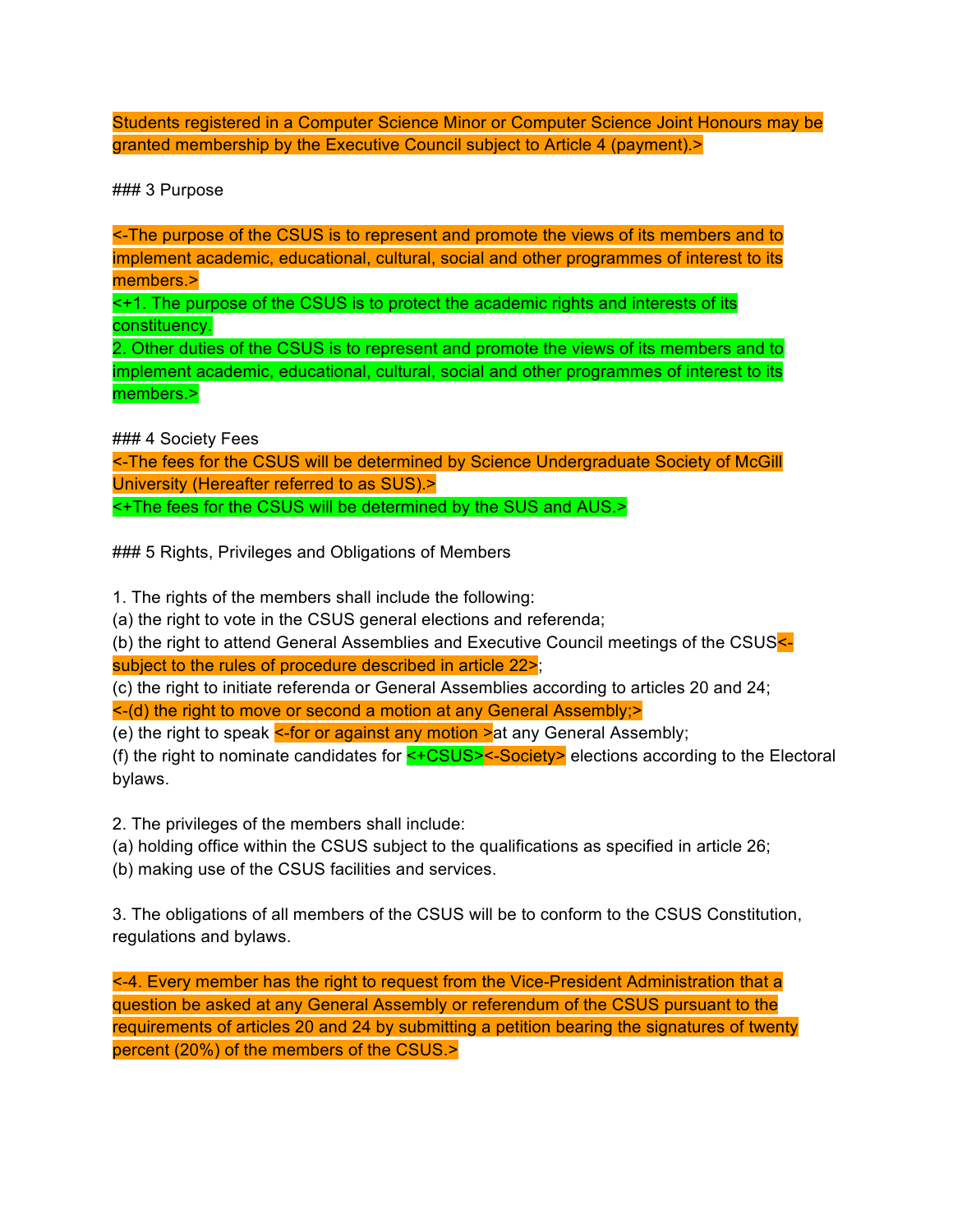Students registered in a Computer Science Minor or Computer Science Joint Honours may be granted membership by the Executive Council subject to Article 4 (payment).>

### 3 Purpose

<-The purpose of the CSUS is to represent and promote the views of its members and to implement academic, educational, cultural, social and other programmes of interest to its members.>

<+1. The purpose of the CSUS is to protect the academic rights and interests of its constituency.

2. Other duties of the CSUS is to represent and promote the views of its members and to implement academic, educational, cultural, social and other programmes of interest to its members.>

### 4 Society Fees

<-The fees for the CSUS will be determined by Science Undergraduate Society of McGill University (Hereafter referred to as SUS).> <+The fees for the CSUS will be determined by the SUS and AUS.>

### 5 Rights, Privileges and Obligations of Members

1. The rights of the members shall include the following:

(a) the right to vote in the CSUS general elections and referenda;

(b) the right to attend General Assemblies and Executive Council meetings of the CSUS< subject to the rules of procedure described in article 22>;

(c) the right to initiate referenda or General Assemblies according to articles 20 and 24; <-(d) the right to move or second a motion at any General Assembly;>

(e) the right to speak  $\le$ -for or against any motion  $\ge$  at any General Assembly;

(f) the right to nominate candidates for  $\leq$ +CSUS> $\leq$ -Society> elections according to the Electoral bylaws.

2. The privileges of the members shall include:

(a) holding office within the CSUS subject to the qualifications as specified in article 26;

(b) making use of the CSUS facilities and services.

3. The obligations of all members of the CSUS will be to conform to the CSUS Constitution, regulations and bylaws.

<-4. Every member has the right to request from the Vice-President Administration that a question be asked at any General Assembly or referendum of the CSUS pursuant to the requirements of articles 20 and 24 by submitting a petition bearing the signatures of twenty percent (20%) of the members of the CSUS.>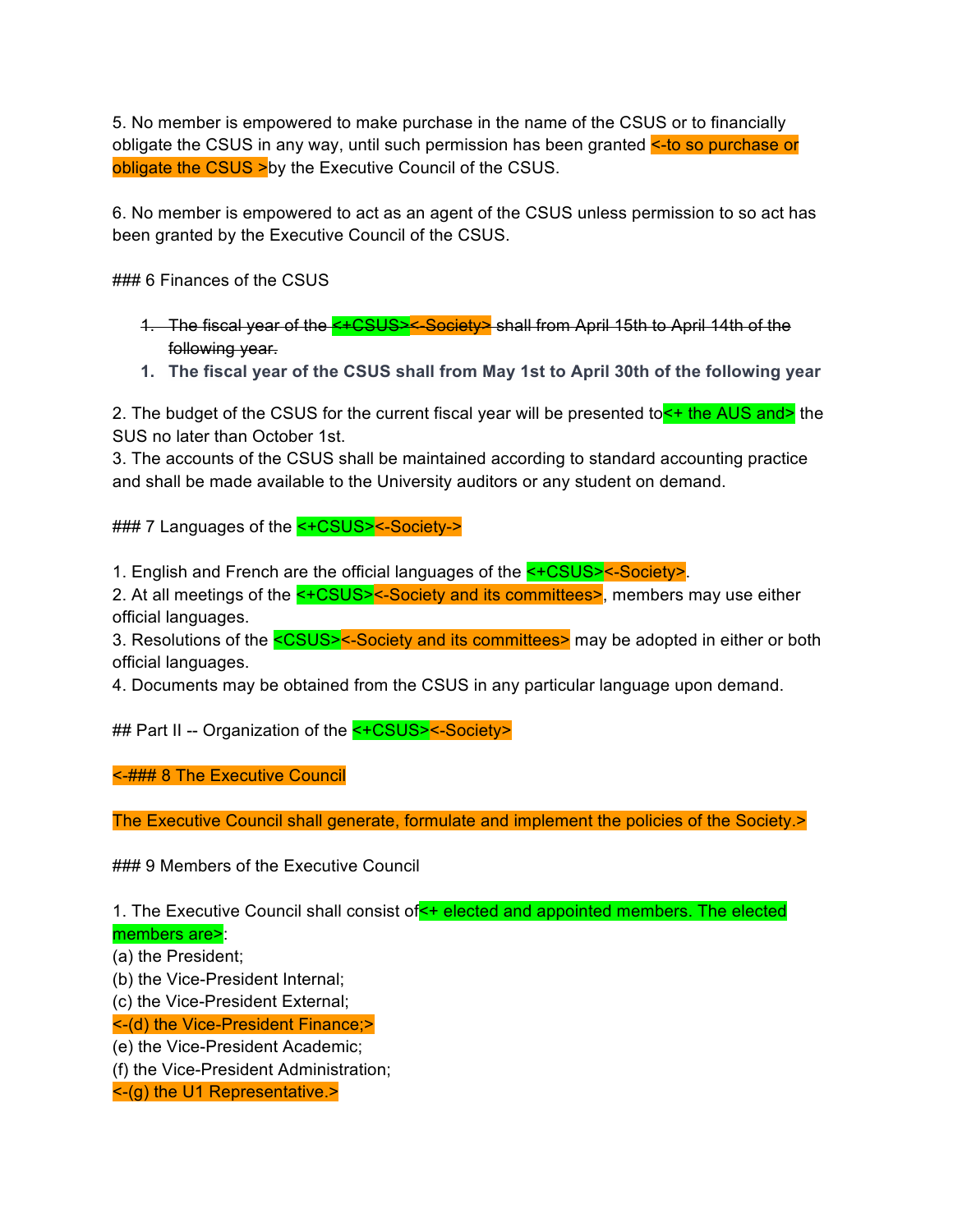5. No member is empowered to make purchase in the name of the CSUS or to financially obligate the CSUS in any way, until such permission has been granted <- to so purchase or obligate the CSUS > by the Executive Council of the CSUS.

6. No member is empowered to act as an agent of the CSUS unless permission to so act has been granted by the Executive Council of the CSUS.

### 6 Finances of the CSUS

1. The fiscal year of the <+CSUS><-Society> shall from April 15th to April 14th of the following year.

**1. The fiscal year of the CSUS shall from May 1st to April 30th of the following year**

2. The budget of the CSUS for the current fiscal year will be presented to  $\leq t$  the AUS and the SUS no later than October 1st.

3. The accounts of the CSUS shall be maintained according to standard accounting practice and shall be made available to the University auditors or any student on demand.

### 7 Languages of the <+CSUS><-Society->

1. English and French are the official languages of the <+CSUS><-Society>.

2. At all meetings of the <+CSUS><-Society and its committees>, members may use either official languages.

3. Resolutions of the <CSUS><-Society and its committees> may be adopted in either or both official languages.

4. Documents may be obtained from the CSUS in any particular language upon demand.

## Part II -- Organization of the <+CSUS><-Society>

<-### 8 The Executive Council

The Executive Council shall generate, formulate and implement the policies of the Society.>

### 9 Members of the Executive Council

1. The Executive Council shall consist of  $\leq$  + elected and appointed members. The elected

members are>:

(a) the President;

(b) the Vice-President Internal;

(c) the Vice-President External;

<-(d) the Vice-President Finance;>

(e) the Vice-President Academic;

(f) the Vice-President Administration;

<-(g) the U1 Representative.>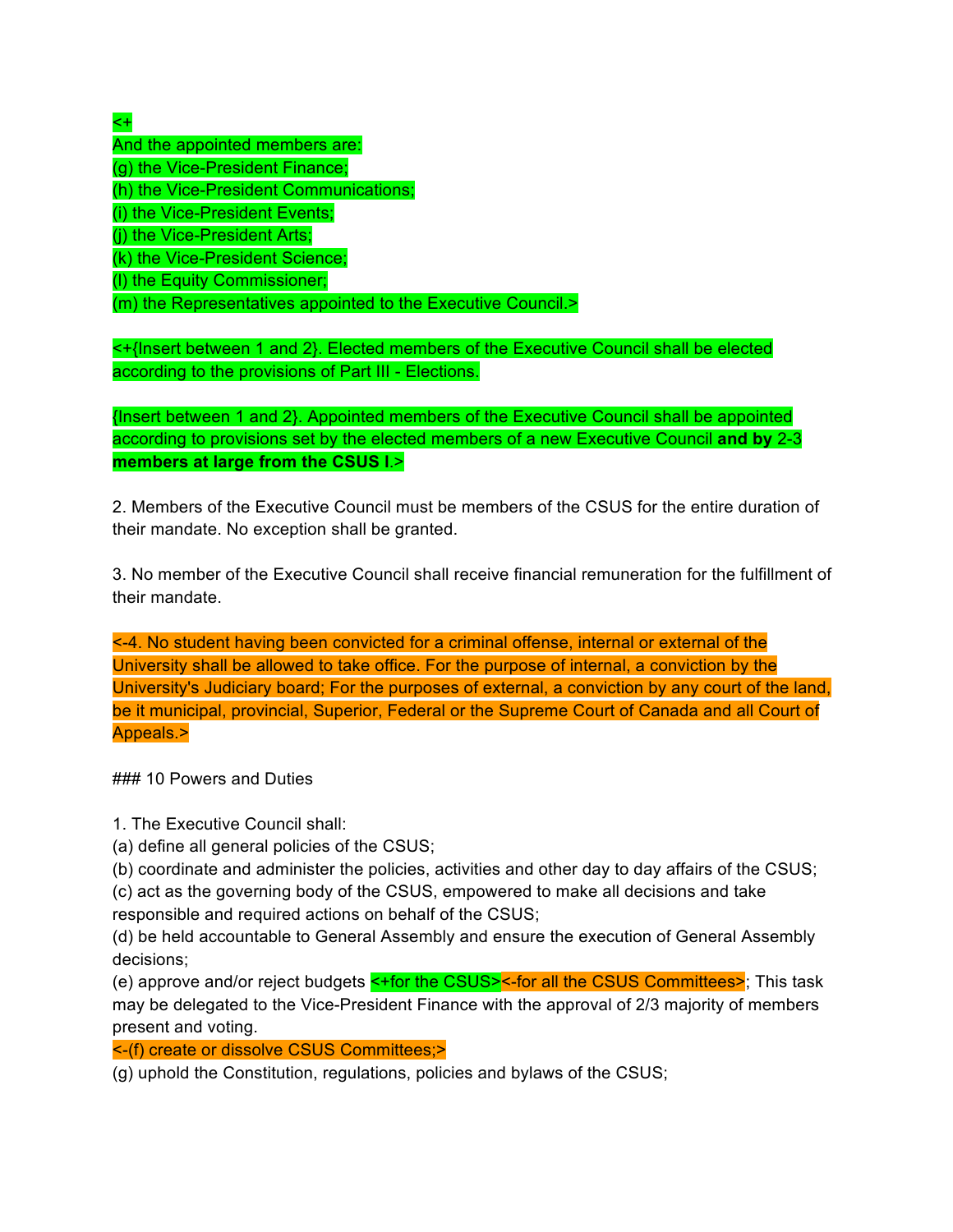# <+

And the appointed members are: (g) the Vice-President Finance; (h) the Vice-President Communications; (i) the Vice-President Events; (j) the Vice-President Arts; (k) the Vice-President Science; (l) the Equity Commissioner; (m) the Representatives appointed to the Executive Council.>

<+{Insert between 1 and 2}. Elected members of the Executive Council shall be elected according to the provisions of Part III - Elections.

{Insert between 1 and 2}. Appointed members of the Executive Council shall be appointed according to provisions set by the elected members of a new Executive Council **and by** 2-3 **members at large from the CSUS l**.>

2. Members of the Executive Council must be members of the CSUS for the entire duration of their mandate. No exception shall be granted.

3. No member of the Executive Council shall receive financial remuneration for the fulfillment of their mandate.

<-4. No student having been convicted for a criminal offense, internal or external of the University shall be allowed to take office. For the purpose of internal, a conviction by the University's Judiciary board; For the purposes of external, a conviction by any court of the land, be it municipal, provincial, Superior, Federal or the Supreme Court of Canada and all Court of Appeals.>

### 10 Powers and Duties

1. The Executive Council shall:

(a) define all general policies of the CSUS;

(b) coordinate and administer the policies, activities and other day to day affairs of the CSUS;

(c) act as the governing body of the CSUS, empowered to make all decisions and take

responsible and required actions on behalf of the CSUS;

(d) be held accountable to General Assembly and ensure the execution of General Assembly decisions;

(e) approve and/or reject budgets <+for the CSUS><-for all the CSUS Committees>; This task may be delegated to the Vice-President Finance with the approval of 2/3 majority of members present and voting.

<-(f) create or dissolve CSUS Committees;>

(g) uphold the Constitution, regulations, policies and bylaws of the CSUS;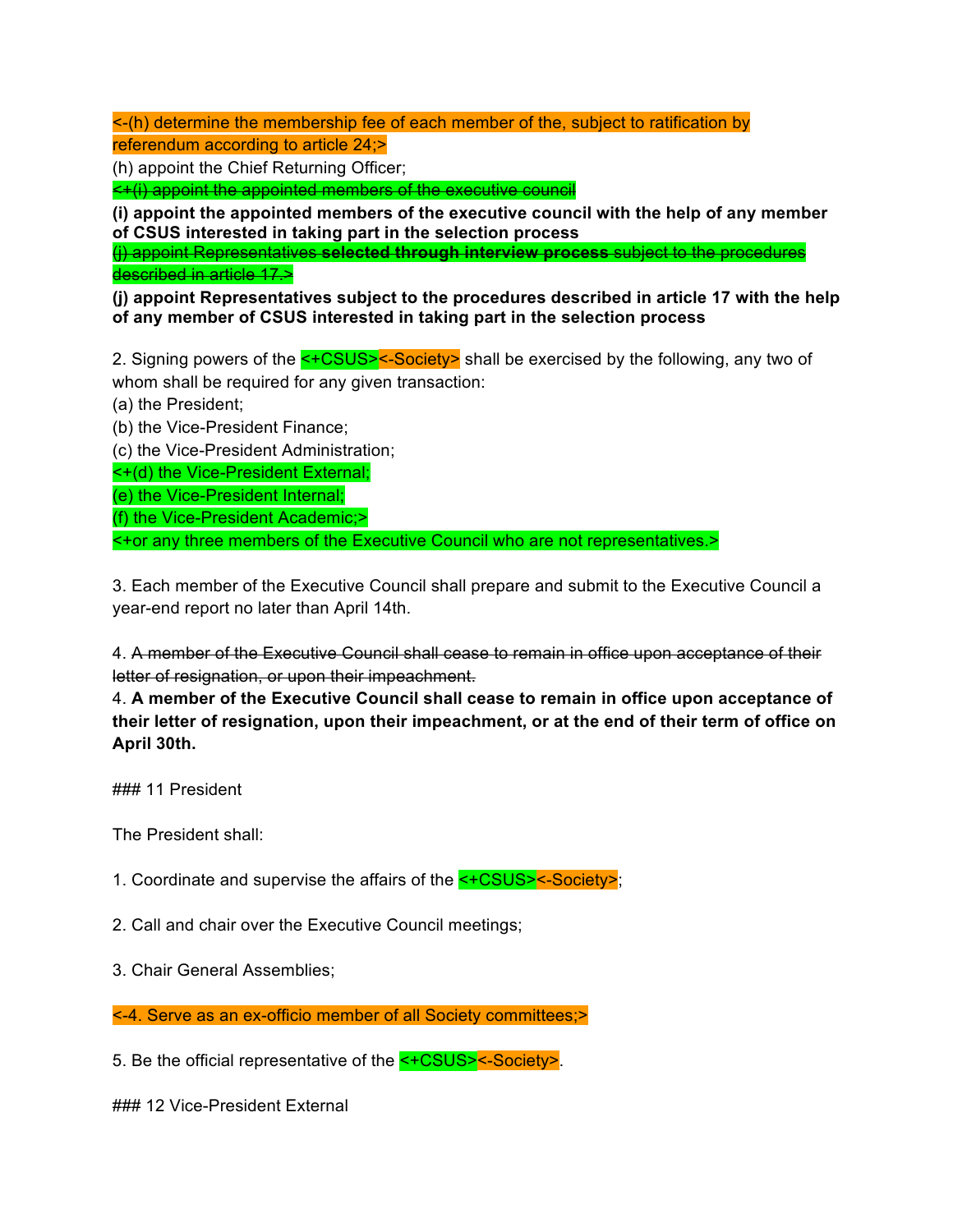<-(h) determine the membership fee of each member of the, subject to ratification by referendum according to article 24;>

(h) appoint the Chief Returning Officer;

<+(i) appoint the appointed members of the executive council

**(i) appoint the appointed members of the executive council with the help of any member of CSUS interested in taking part in the selection process**

(j) appoint Representatives **selected through interview process** subject to the procedures described in article 17.>

**(j) appoint Representatives subject to the procedures described in article 17 with the help of any member of CSUS interested in taking part in the selection process**

2. Signing powers of the <+CSUS><-Society> shall be exercised by the following, any two of whom shall be required for any given transaction:

(a) the President;

(b) the Vice-President Finance;

(c) the Vice-President Administration;

<+(d) the Vice-President External;

(e) the Vice-President Internal;

(f) the Vice-President Academic;>

<+or any three members of the Executive Council who are not representatives.>

3. Each member of the Executive Council shall prepare and submit to the Executive Council a year-end report no later than April 14th.

4. A member of the Executive Council shall cease to remain in office upon acceptance of their letter of resignation, or upon their impeachment.

4. **A member of the Executive Council shall cease to remain in office upon acceptance of their letter of resignation, upon their impeachment, or at the end of their term of office on April 30th.**

### 11 President

The President shall:

1. Coordinate and supervise the affairs of the <+CSUS><-Society>;

2. Call and chair over the Executive Council meetings;

3. Chair General Assemblies;

<-4. Serve as an ex-officio member of all Society committees;>

5. Be the official representative of the <+CSUS><-Society>.

### 12 Vice-President External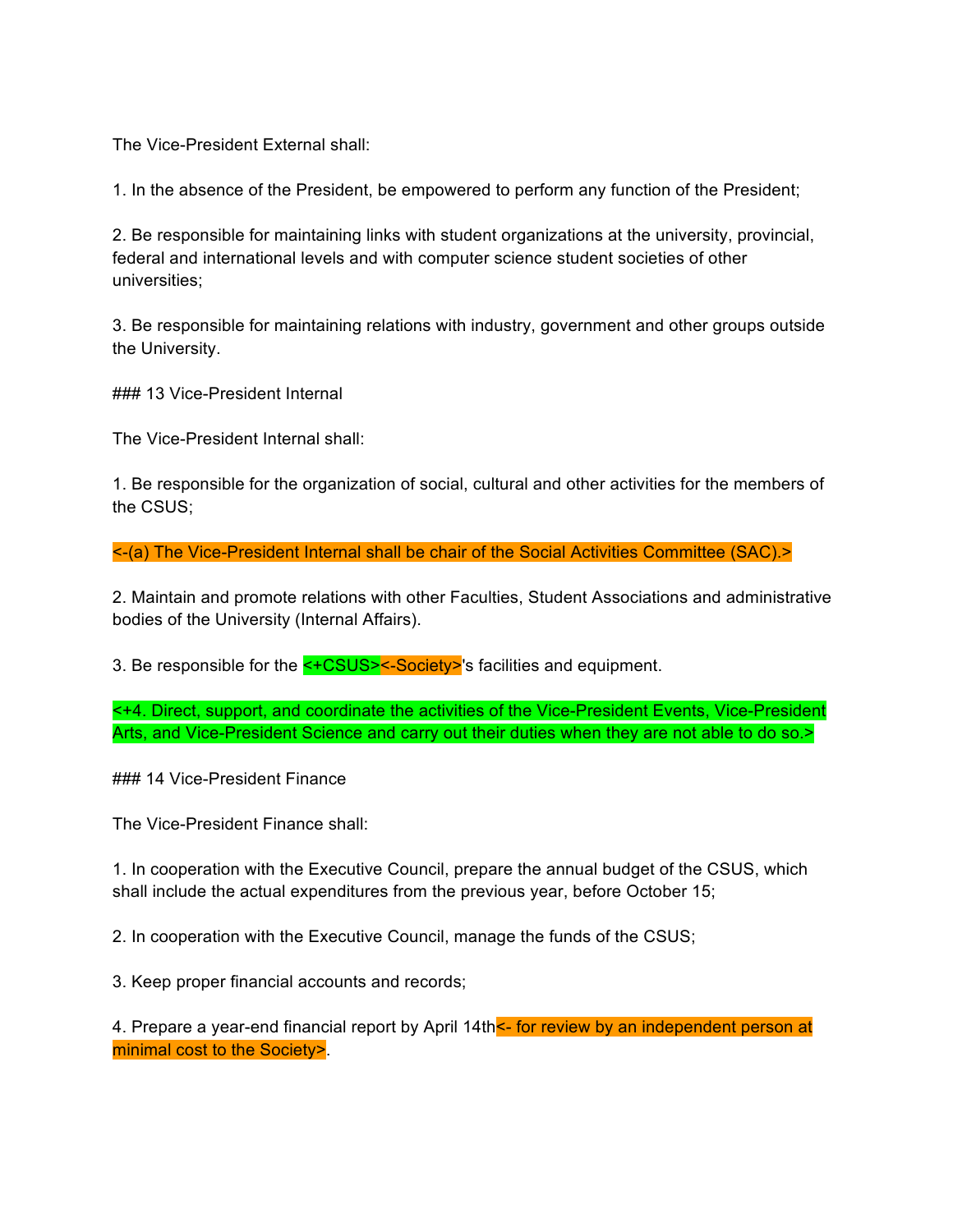The Vice-President External shall:

1. In the absence of the President, be empowered to perform any function of the President;

2. Be responsible for maintaining links with student organizations at the university, provincial, federal and international levels and with computer science student societies of other universities;

3. Be responsible for maintaining relations with industry, government and other groups outside the University.

### 13 Vice-President Internal

The Vice-President Internal shall:

1. Be responsible for the organization of social, cultural and other activities for the members of the CSUS;

<-(a) The Vice-President Internal shall be chair of the Social Activities Committee (SAC).>

2. Maintain and promote relations with other Faculties, Student Associations and administrative bodies of the University (Internal Affairs).

3. Be responsible for the <+CSUS><-Society>'s facilities and equipment.

<+4. Direct, support, and coordinate the activities of the Vice-President Events, Vice-President Arts, and Vice-President Science and carry out their duties when they are not able to do so.>

### 14 Vice-President Finance

The Vice-President Finance shall:

1. In cooperation with the Executive Council, prepare the annual budget of the CSUS, which shall include the actual expenditures from the previous year, before October 15;

2. In cooperation with the Executive Council, manage the funds of the CSUS;

3. Keep proper financial accounts and records;

4. Prepare a year-end financial report by April 14th<sup><-</sup> for review by an independent person at minimal cost to the Society>.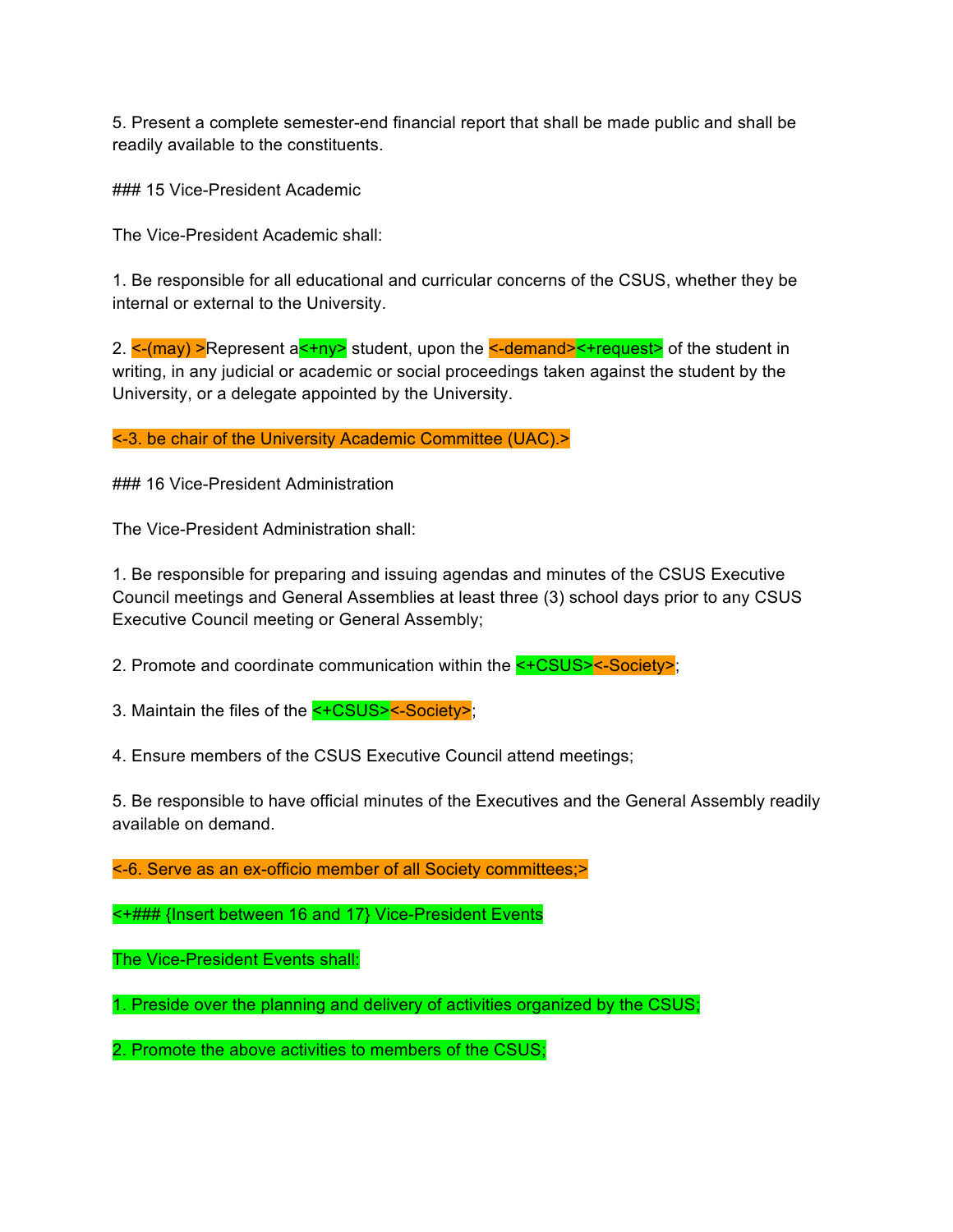5. Present a complete semester-end financial report that shall be made public and shall be readily available to the constituents.

### 15 Vice-President Academic

The Vice-President Academic shall:

1. Be responsible for all educational and curricular concerns of the CSUS, whether they be internal or external to the University.

2.  $\leq$ -(may) >Represent a $\leq$ +ny> student, upon the  $\leq$ -demand> $\leq$ +request> of the student in writing, in any judicial or academic or social proceedings taken against the student by the University, or a delegate appointed by the University.

<-3. be chair of the University Academic Committee (UAC).>

### 16 Vice-President Administration

The Vice-President Administration shall:

1. Be responsible for preparing and issuing agendas and minutes of the CSUS Executive Council meetings and General Assemblies at least three (3) school days prior to any CSUS Executive Council meeting or General Assembly;

2. Promote and coordinate communication within the <+CSUS><-Society>;

3. Maintain the files of the <+CSUS><-Society>;

4. Ensure members of the CSUS Executive Council attend meetings;

5. Be responsible to have official minutes of the Executives and the General Assembly readily available on demand.

<-6. Serve as an ex-officio member of all Society committees;>

<+### {Insert between 16 and 17} Vice-President Events

The Vice-President Events shall:

1. Preside over the planning and delivery of activities organized by the CSUS;

2. Promote the above activities to members of the CSUS;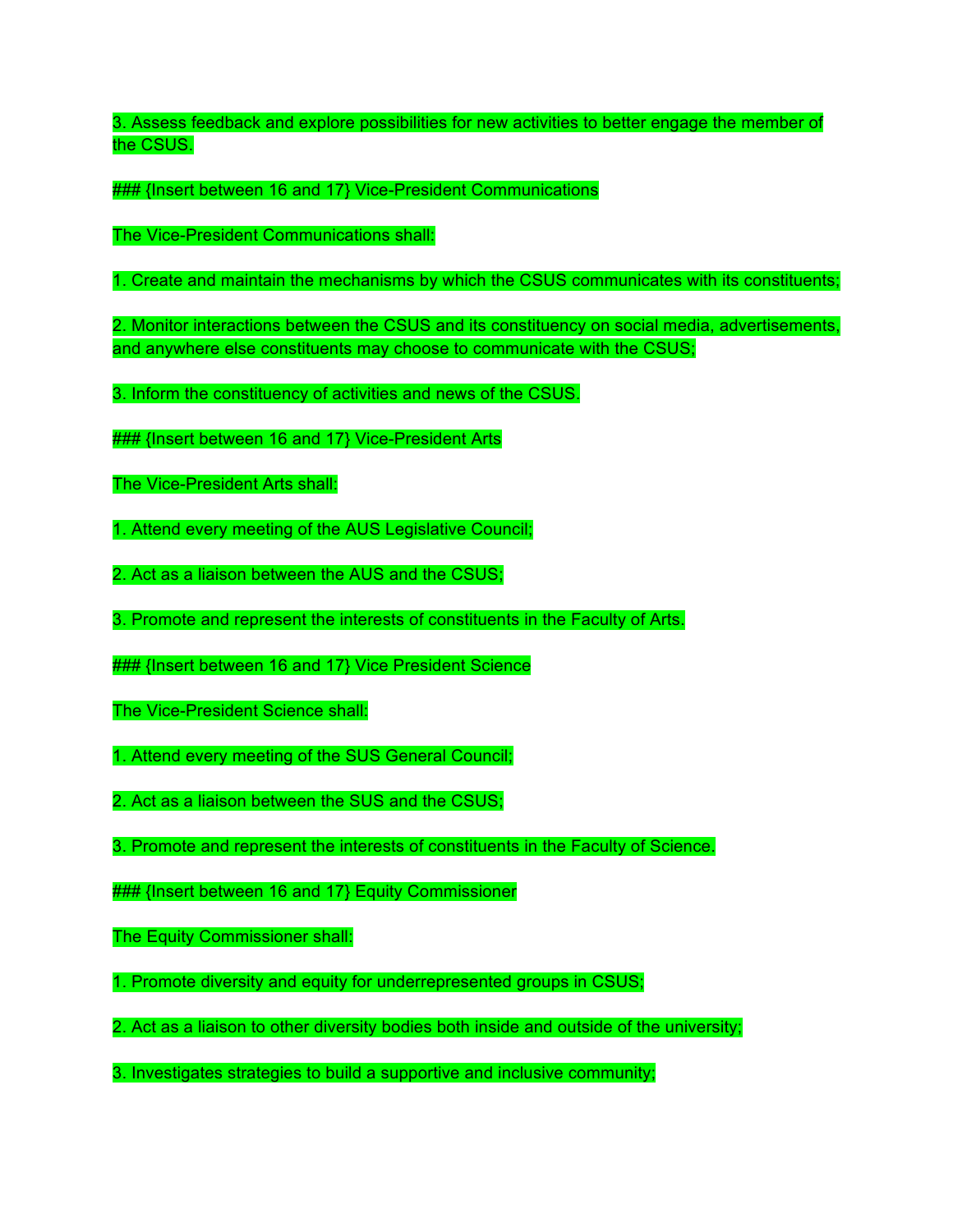3. Assess feedback and explore possibilities for new activities to better engage the member of the CSUS.

### {Insert between 16 and 17} Vice-President Communications

The Vice-President Communications shall:

1. Create and maintain the mechanisms by which the CSUS communicates with its constituents;

2. Monitor interactions between the CSUS and its constituency on social media, advertisements, and anywhere else constituents may choose to communicate with the CSUS;

3. Inform the constituency of activities and news of the CSUS.

**### {Insert between 16 and 17} Vice-President Arts** 

The Vice-President Arts shall:

1. Attend every meeting of the AUS Legislative Council;

2. Act as a liaison between the AUS and the CSUS;

3. Promote and represent the interests of constituents in the Faculty of Arts.

**### {Insert between 16 and 17} Vice President Science** 

The Vice-President Science shall:

1. Attend every meeting of the SUS General Council;

2. Act as a liaison between the SUS and the CSUS;

3. Promote and represent the interests of constituents in the Faculty of Science.

### {Insert between 16 and 17} Equity Commissioner

The Equity Commissioner shall:

1. Promote diversity and equity for underrepresented groups in CSUS;

2. Act as a liaison to other diversity bodies both inside and outside of the university;

3. Investigates strategies to build a supportive and inclusive community;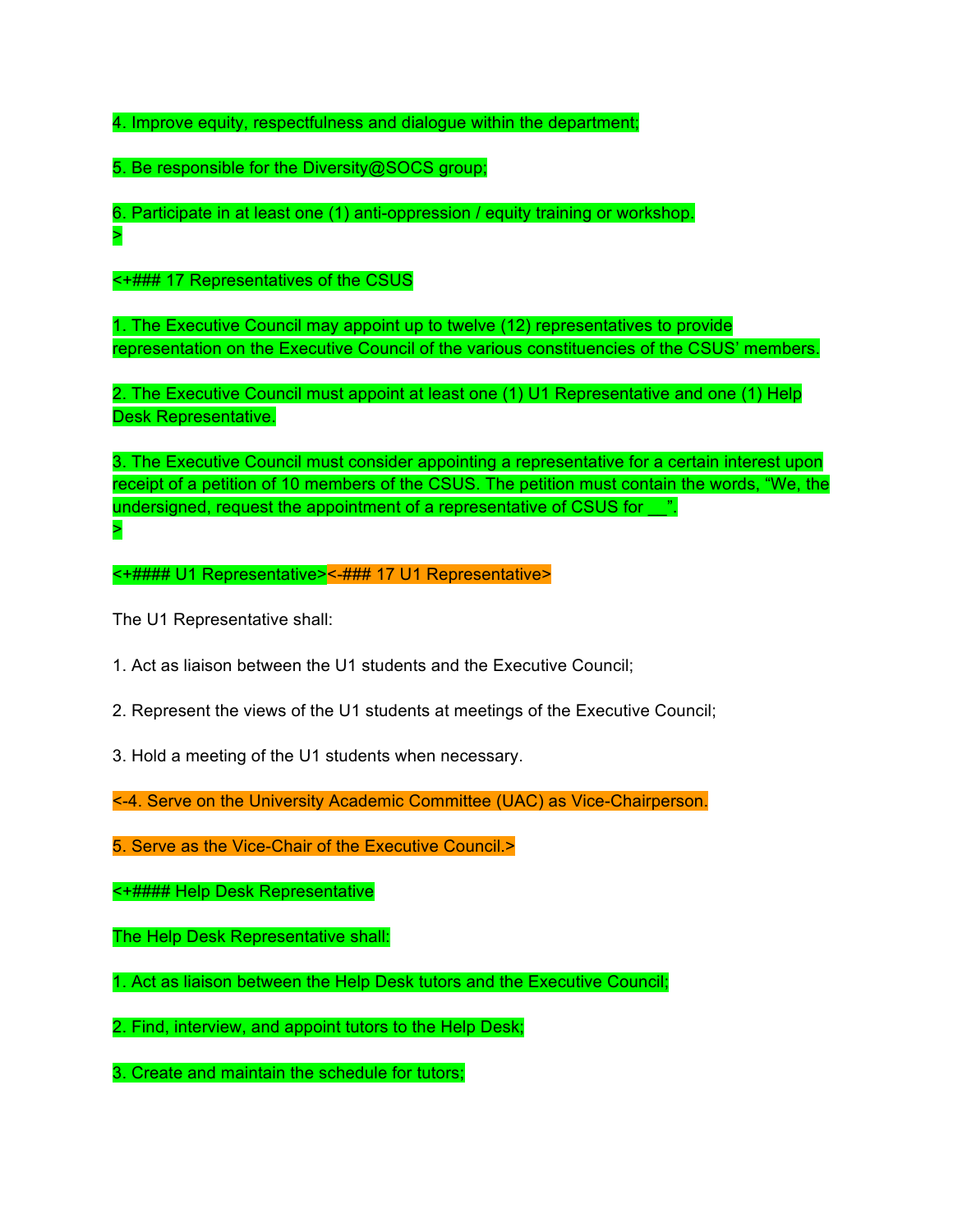4. Improve equity, respectfulness and dialogue within the department;

5. Be responsible for the Diversity@SOCS group;

6. Participate in at least one (1) anti-oppression / equity training or workshop. >

<+### 17 Representatives of the CSUS

1. The Executive Council may appoint up to twelve (12) representatives to provide representation on the Executive Council of the various constituencies of the CSUS' members.

2. The Executive Council must appoint at least one (1) U1 Representative and one (1) Help Desk Representative.

3. The Executive Council must consider appointing a representative for a certain interest upon receipt of a petition of 10 members of the CSUS. The petition must contain the words, "We, the undersigned, request the appointment of a representative of CSUS for  $\ldots$ . >

<+#### U1 Representative><-### 17 U1 Representative>

The U1 Representative shall:

1. Act as liaison between the U1 students and the Executive Council;

- 2. Represent the views of the U1 students at meetings of the Executive Council;
- 3. Hold a meeting of the U1 students when necessary.

<-4. Serve on the University Academic Committee (UAC) as Vice-Chairperson.

5. Serve as the Vice-Chair of the Executive Council.>

<+#### Help Desk Representative

The Help Desk Representative shall:

1. Act as liaison between the Help Desk tutors and the Executive Council;

2. Find, interview, and appoint tutors to the Help Desk;

3. Create and maintain the schedule for tutors;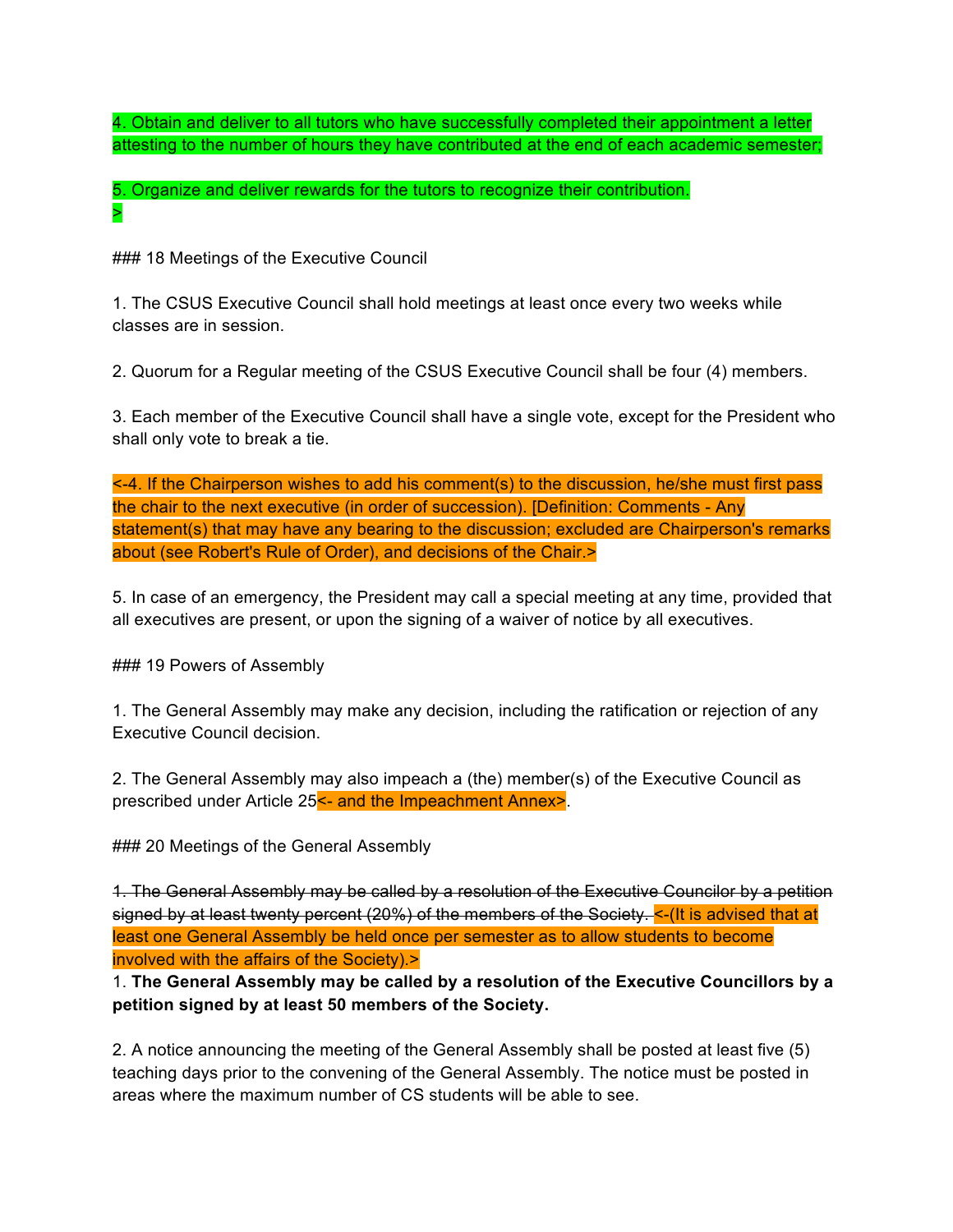4. Obtain and deliver to all tutors who have successfully completed their appointment a letter attesting to the number of hours they have contributed at the end of each academic semester;

5. Organize and deliver rewards for the tutors to recognize their contribution. >

### 18 Meetings of the Executive Council

1. The CSUS Executive Council shall hold meetings at least once every two weeks while classes are in session.

2. Quorum for a Regular meeting of the CSUS Executive Council shall be four (4) members.

3. Each member of the Executive Council shall have a single vote, except for the President who shall only vote to break a tie.

<-4. If the Chairperson wishes to add his comment(s) to the discussion, he/she must first pass the chair to the next executive (in order of succession). [Definition: Comments - Any statement(s) that may have any bearing to the discussion; excluded are Chairperson's remarks about (see Robert's Rule of Order), and decisions of the Chair.>

5. In case of an emergency, the President may call a special meeting at any time, provided that all executives are present, or upon the signing of a waiver of notice by all executives.

### 19 Powers of Assembly

1. The General Assembly may make any decision, including the ratification or rejection of any Executive Council decision.

2. The General Assembly may also impeach a (the) member(s) of the Executive Council as prescribed under Article 25<sup><-</sup> and the Impeachment Annex>.

### 20 Meetings of the General Assembly

1. The General Assembly may be called by a resolution of the Executive Councilor by a petition signed by at least twenty percent (20%) of the members of the Society. <-(It is advised that at least one General Assembly be held once per semester as to allow students to become involved with the affairs of the Society).>

1. **The General Assembly may be called by a resolution of the Executive Councillors by a petition signed by at least 50 members of the Society.**

2. A notice announcing the meeting of the General Assembly shall be posted at least five (5) teaching days prior to the convening of the General Assembly. The notice must be posted in areas where the maximum number of CS students will be able to see.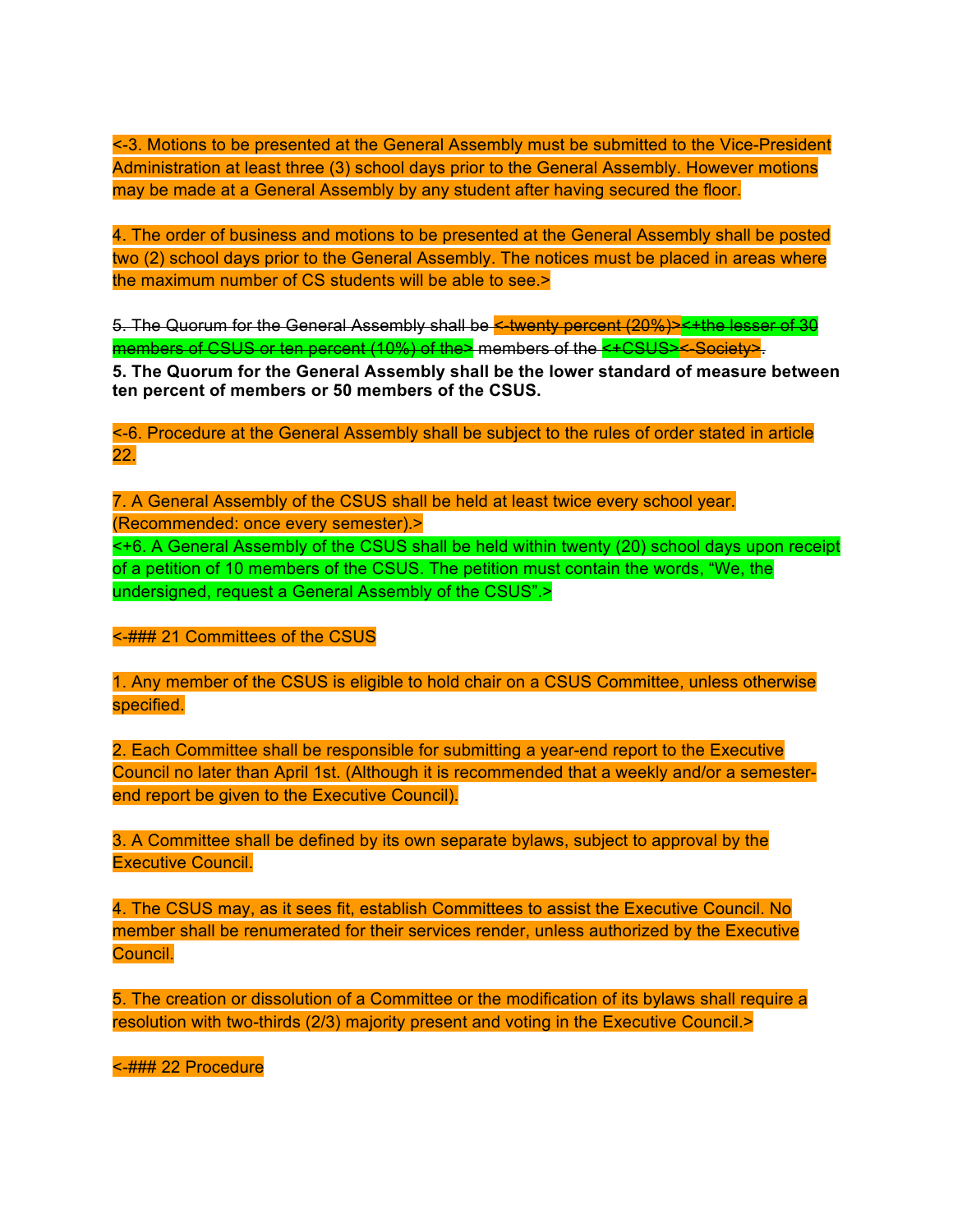<-3. Motions to be presented at the General Assembly must be submitted to the Vice-President Administration at least three (3) school days prior to the General Assembly. However motions may be made at a General Assembly by any student after having secured the floor.

4. The order of business and motions to be presented at the General Assembly shall be posted two (2) school days prior to the General Assembly. The notices must be placed in areas where the maximum number of CS students will be able to see.>

5. The Quorum for the General Assembly shall be K-twenty percent (20%)><+the lesser of 30 members of CSUS or ten percent (10%) of the> members of the <+CSUS><-Society>.

**5. The Quorum for the General Assembly shall be the lower standard of measure between ten percent of members or 50 members of the CSUS.**

<-6. Procedure at the General Assembly shall be subject to the rules of order stated in article 22.

7. A General Assembly of the CSUS shall be held at least twice every school year. (Recommended: once every semester).> <+6. A General Assembly of the CSUS shall be held within twenty (20) school days upon receipt of a petition of 10 members of the CSUS. The petition must contain the words, "We, the undersigned, request a General Assembly of the CSUS".>

<-### 21 Committees of the CSUS

1. Any member of the CSUS is eligible to hold chair on a CSUS Committee, unless otherwise specified.

2. Each Committee shall be responsible for submitting a year-end report to the Executive Council no later than April 1st. (Although it is recommended that a weekly and/or a semesterend report be given to the Executive Council).

3. A Committee shall be defined by its own separate bylaws, subject to approval by the Executive Council.

4. The CSUS may, as it sees fit, establish Committees to assist the Executive Council. No member shall be renumerated for their services render, unless authorized by the Executive Council.

5. The creation or dissolution of a Committee or the modification of its bylaws shall require a resolution with two-thirds (2/3) majority present and voting in the Executive Council.>

<-### 22 Procedure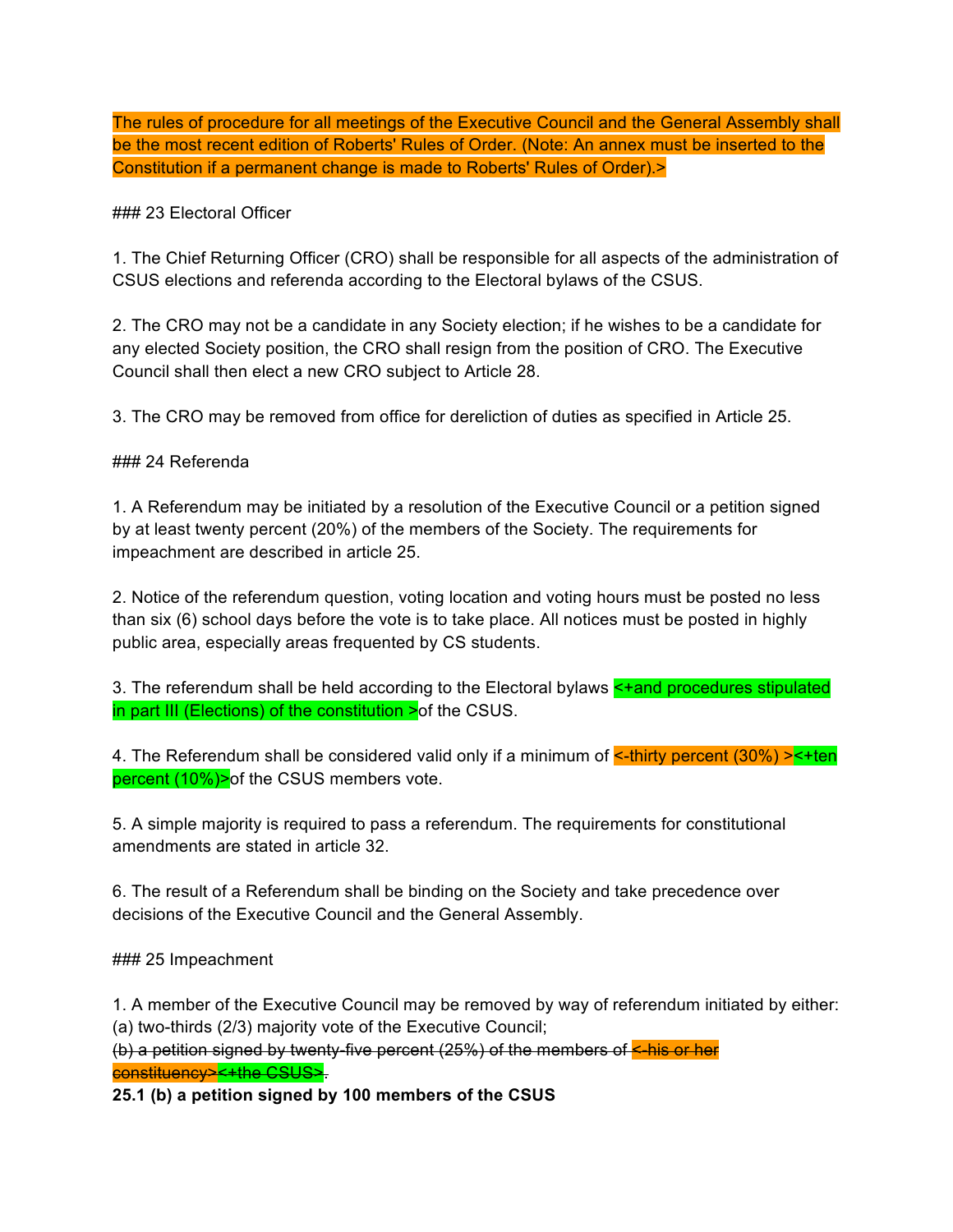The rules of procedure for all meetings of the Executive Council and the General Assembly shall be the most recent edition of Roberts' Rules of Order. (Note: An annex must be inserted to the Constitution if a permanent change is made to Roberts' Rules of Order).>

### ### 23 Electoral Officer

1. The Chief Returning Officer (CRO) shall be responsible for all aspects of the administration of CSUS elections and referenda according to the Electoral bylaws of the CSUS.

2. The CRO may not be a candidate in any Society election; if he wishes to be a candidate for any elected Society position, the CRO shall resign from the position of CRO. The Executive Council shall then elect a new CRO subject to Article 28.

3. The CRO may be removed from office for dereliction of duties as specified in Article 25.

### ### 24 Referenda

1. A Referendum may be initiated by a resolution of the Executive Council or a petition signed by at least twenty percent (20%) of the members of the Society. The requirements for impeachment are described in article 25.

2. Notice of the referendum question, voting location and voting hours must be posted no less than six (6) school days before the vote is to take place. All notices must be posted in highly public area, especially areas frequented by CS students.

3. The referendum shall be held according to the Electoral bylaws <+and procedures stipulated in part III (Elections) of the constitution  $\geq$  of the CSUS.

4. The Referendum shall be considered valid only if a minimum of  $\leq$ -thirty percent (30%)  $\geq$ -ten percent (10%)>of the CSUS members vote.

5. A simple majority is required to pass a referendum. The requirements for constitutional amendments are stated in article 32.

6. The result of a Referendum shall be binding on the Society and take precedence over decisions of the Executive Council and the General Assembly.

#### ### 25 Impeachment

1. A member of the Executive Council may be removed by way of referendum initiated by either: (a) two-thirds (2/3) majority vote of the Executive Council;

(b) a petition signed by twenty-five percent (25%) of the members of <-his or her constituency><+the CSUS>.

**25.1 (b) a petition signed by 100 members of the CSUS**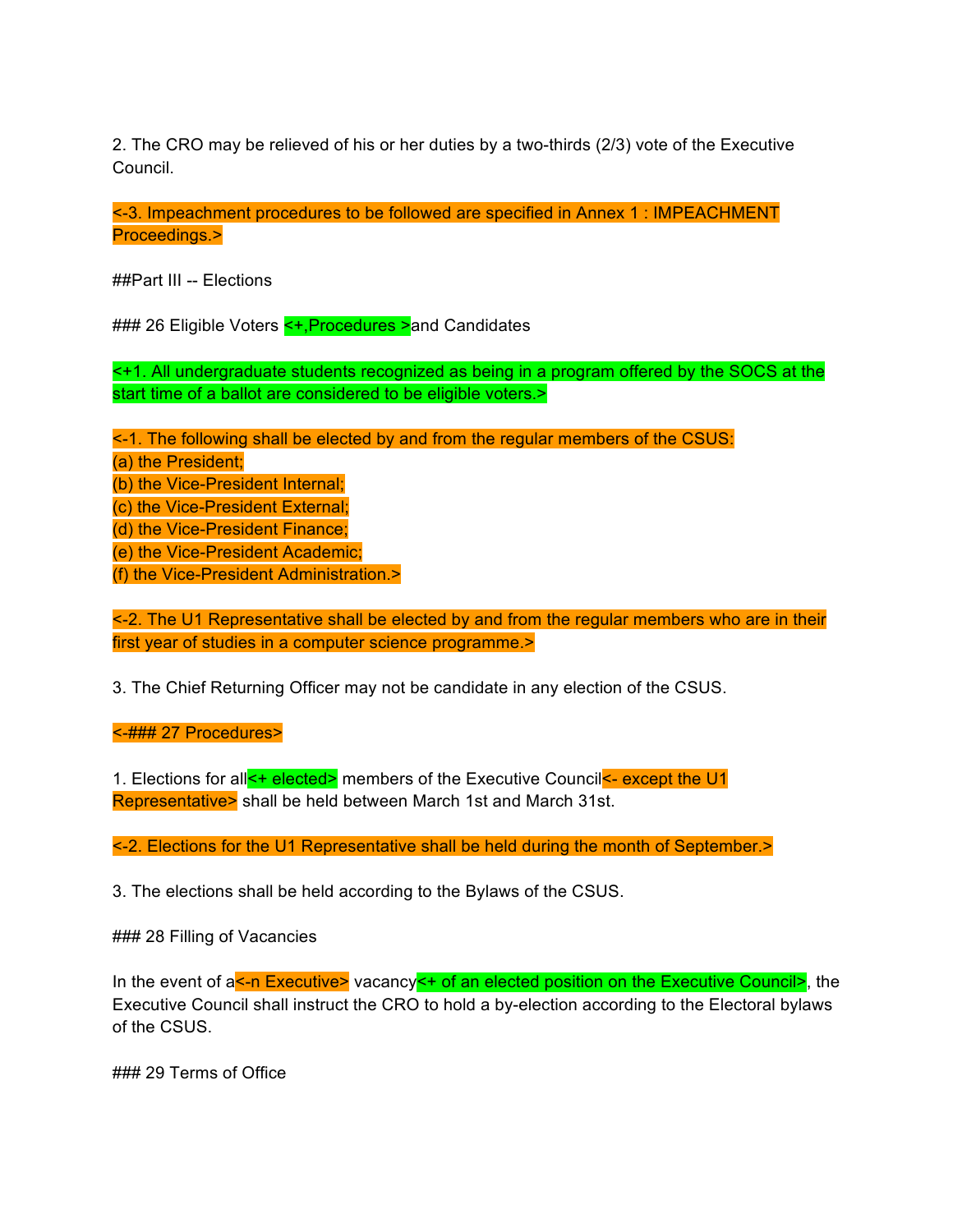2. The CRO may be relieved of his or her duties by a two-thirds (2/3) vote of the Executive Council.

<-3. Impeachment procedures to be followed are specified in Annex 1 : IMPEACHMENT Proceedings.>

##Part III -- Elections

### 26 Eligible Voters < -, Procedures > and Candidates

<+1. All undergraduate students recognized as being in a program offered by the SOCS at the start time of a ballot are considered to be eligible voters.>

<-1. The following shall be elected by and from the regular members of the CSUS: (a) the President; (b) the Vice-President Internal; (c) the Vice-President External; (d) the Vice-President Finance; (e) the Vice-President Academic; (f) the Vice-President Administration.>

<-2. The U1 Representative shall be elected by and from the regular members who are in their first year of studies in a computer science programme.>

3. The Chief Returning Officer may not be candidate in any election of the CSUS.

<-### 27 Procedures>

1. Elections for all <**+** elected> members of the Executive Council <- except the U1 Representative> shall be held between March 1st and March 31st.

<-2. Elections for the U1 Representative shall be held during the month of September.>

3. The elections shall be held according to the Bylaws of the CSUS.

### 28 Filling of Vacancies

In the event of a<sup>k-</sup>n Executive> vacancy<sup>k+</sup> of an elected position on the Executive Council>, the Executive Council shall instruct the CRO to hold a by-election according to the Electoral bylaws of the CSUS.

### 29 Terms of Office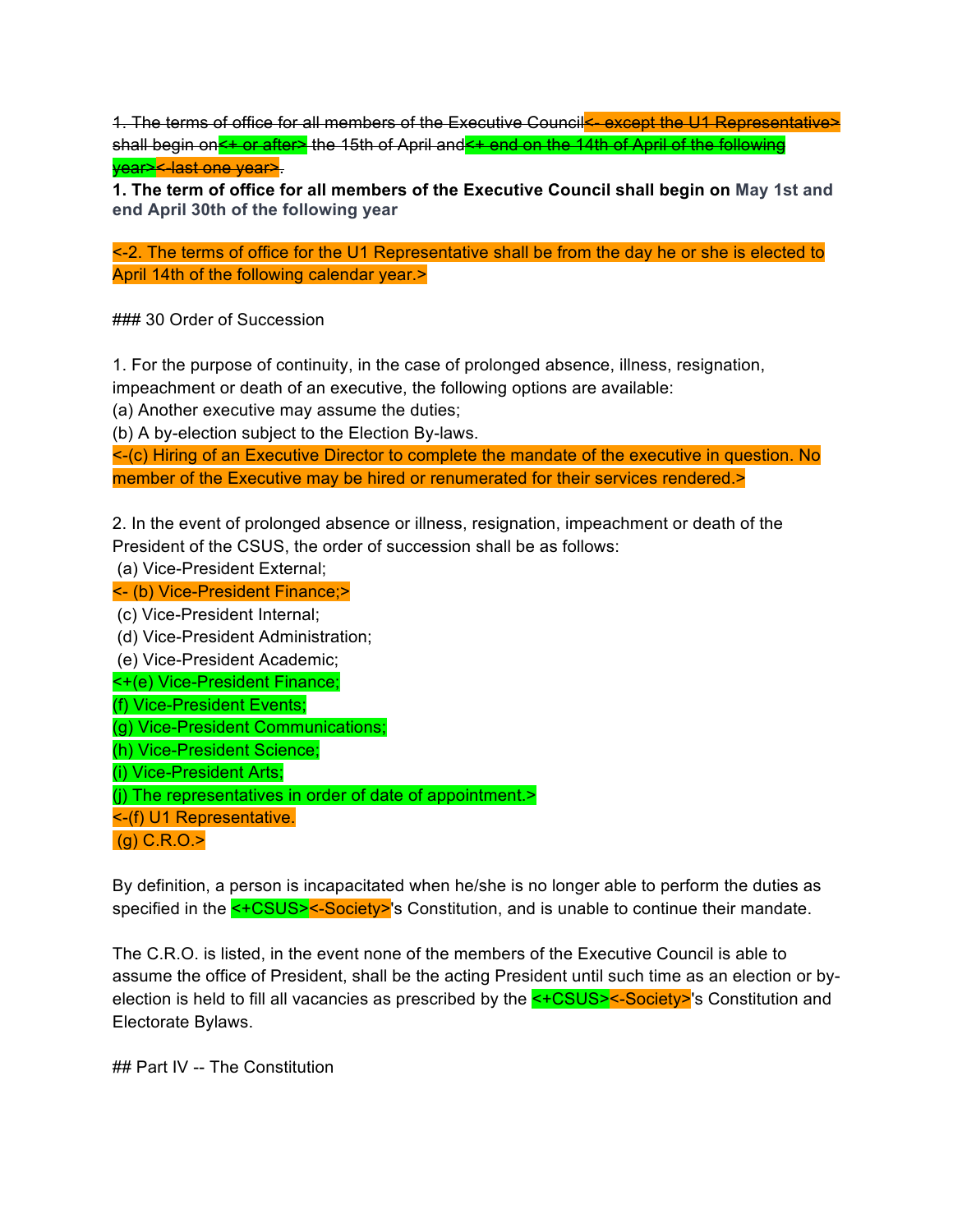1. The terms of office for all members of the Executive Council - except the U1 Representative> shall begin ons+ or after> the 15th of April and<+ end on the 14th of April of the following vear><-last one year>.

**1. The term of office for all members of the Executive Council shall begin on May 1st and end April 30th of the following year**

<-2. The terms of office for the U1 Representative shall be from the day he or she is elected to April 14th of the following calendar year.>

### 30 Order of Succession

1. For the purpose of continuity, in the case of prolonged absence, illness, resignation,

impeachment or death of an executive, the following options are available:

(a) Another executive may assume the duties;

(b) A by-election subject to the Election By-laws.

<-(c) Hiring of an Executive Director to complete the mandate of the executive in question. No member of the Executive may be hired or renumerated for their services rendered.>

2. In the event of prolonged absence or illness, resignation, impeachment or death of the President of the CSUS, the order of succession shall be as follows:

(a) Vice-President External;

<- (b) Vice-President Finance;>

(c) Vice-President Internal;

(d) Vice-President Administration;

(e) Vice-President Academic;

<+(e) Vice-President Finance;

(f) Vice-President Events;

(g) Vice-President Communications;

(h) Vice-President Science;

(i) Vice-President Arts;

(j) The representatives in order of date of appointment.>

<-(f) U1 Representative.

(g) C.R.O.>

By definition, a person is incapacitated when he/she is no longer able to perform the duties as specified in the **<+CSUS><-Society>'**s Constitution, and is unable to continue their mandate.

The C.R.O. is listed, in the event none of the members of the Executive Council is able to assume the office of President, shall be the acting President until such time as an election or byelection is held to fill all vacancies as prescribed by the <+CSUS><-Society>'s Constitution and Electorate Bylaws.

## Part IV -- The Constitution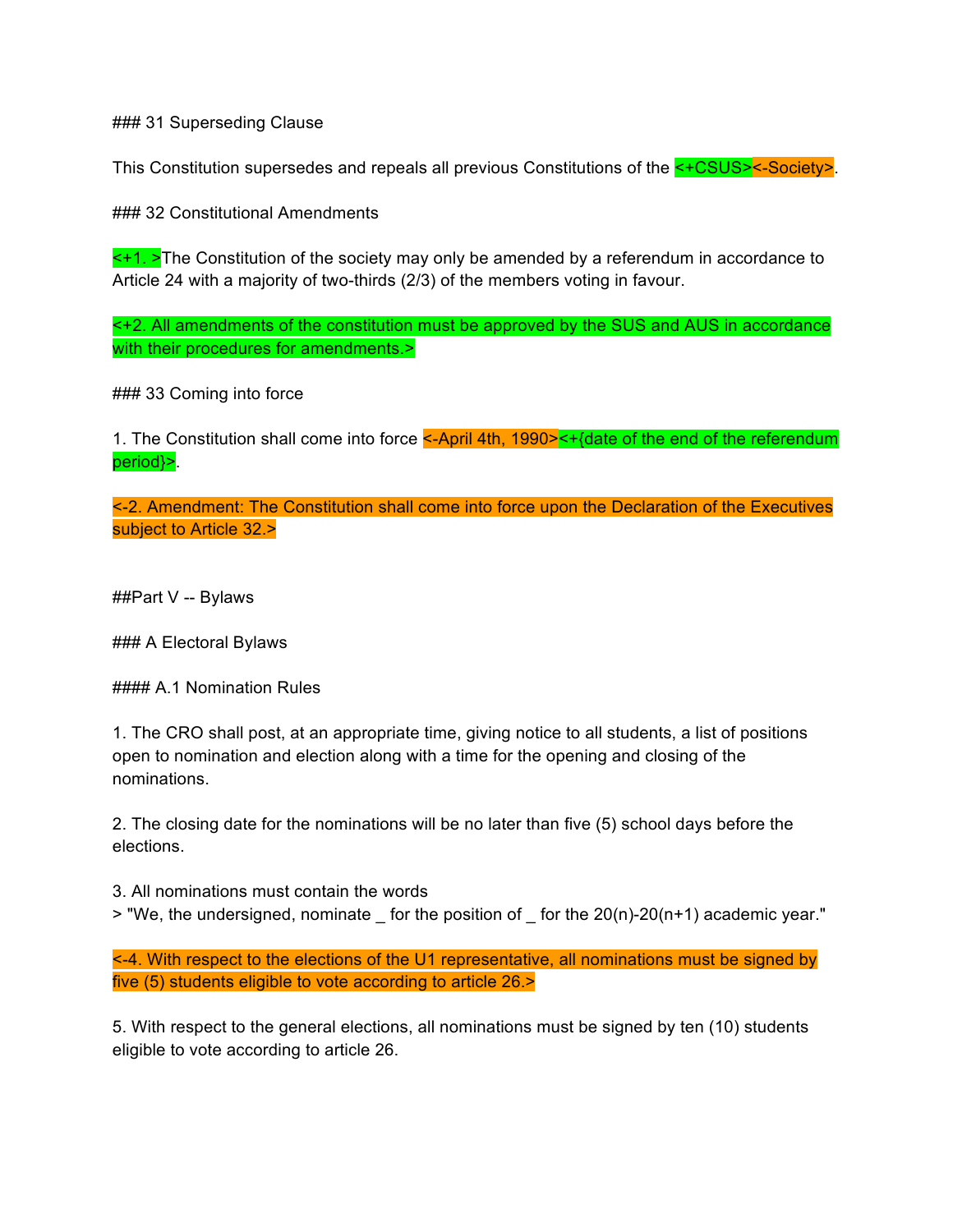### 31 Superseding Clause

This Constitution supersedes and repeals all previous Constitutions of the **<+CSUS><-Society>**.

### 32 Constitutional Amendments

 $\leq$ +1. >The Constitution of the society may only be amended by a referendum in accordance to Article 24 with a majority of two-thirds (2/3) of the members voting in favour.

<+2. All amendments of the constitution must be approved by the SUS and AUS in accordance with their procedures for amendments.>

### 33 Coming into force

1. The Constitution shall come into force <-April 4th, 1990><+{date of the end of the referendum period}>.

<-2. Amendment: The Constitution shall come into force upon the Declaration of the Executives subject to Article 32.>

##Part V -- Bylaws

### A Electoral Bylaws

#### A.1 Nomination Rules

1. The CRO shall post, at an appropriate time, giving notice to all students, a list of positions open to nomination and election along with a time for the opening and closing of the nominations.

2. The closing date for the nominations will be no later than five (5) school days before the elections.

3. All nominations must contain the words

> "We, the undersigned, nominate \_ for the position of \_ for the 20(n)-20(n+1) academic year."

<-4. With respect to the elections of the U1 representative, all nominations must be signed by five (5) students eligible to vote according to article 26.>

5. With respect to the general elections, all nominations must be signed by ten (10) students eligible to vote according to article 26.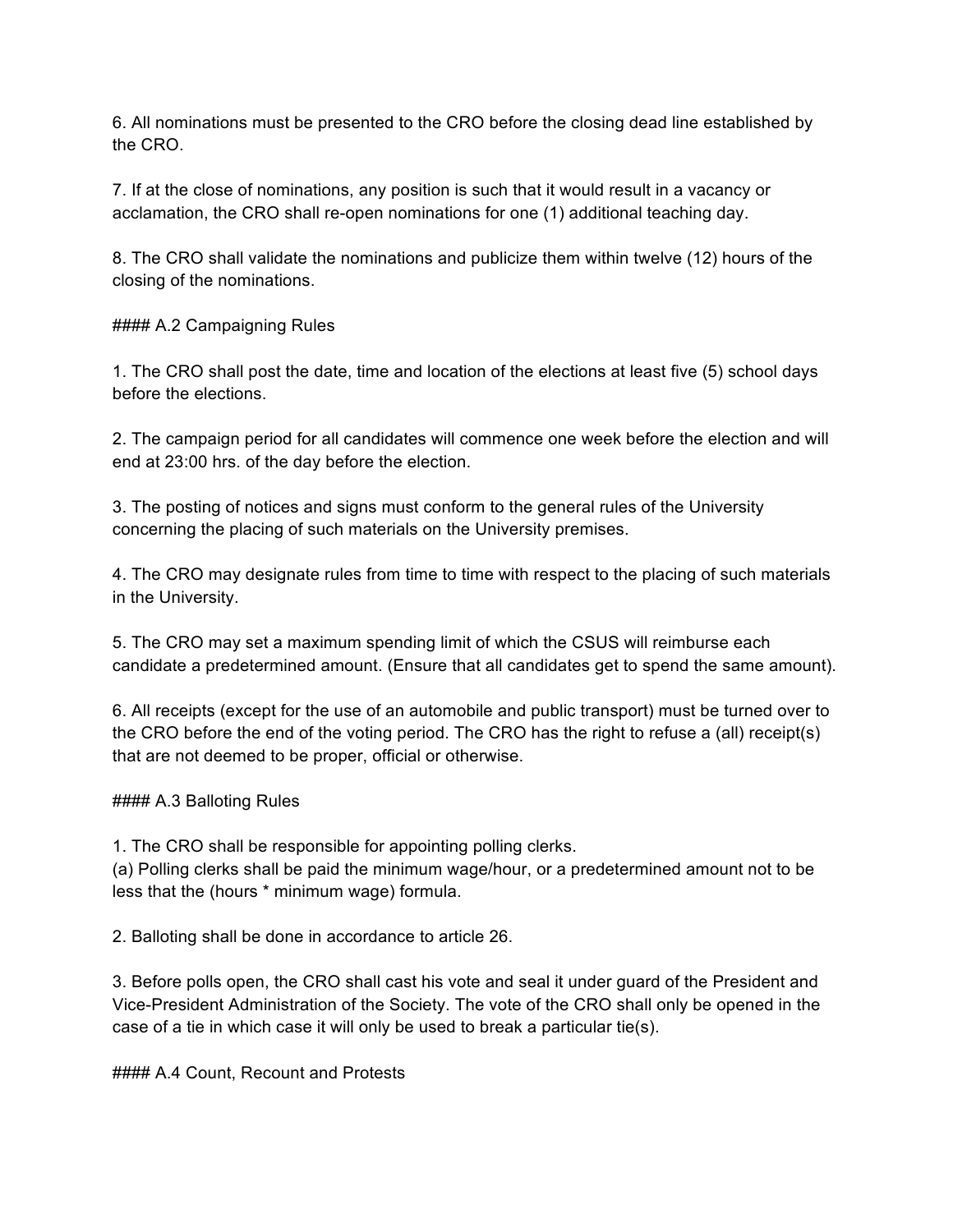6. All nominations must be presented to the CRO before the closing dead line established by the CRO.

7. If at the close of nominations, any position is such that it would result in a vacancy or acclamation, the CRO shall re-open nominations for one (1) additional teaching day.

8. The CRO shall validate the nominations and publicize them within twelve (12) hours of the closing of the nominations.

#### A.2 Campaigning Rules

1. The CRO shall post the date, time and location of the elections at least five (5) school days before the elections.

2. The campaign period for all candidates will commence one week before the election and will end at 23:00 hrs. of the day before the election.

3. The posting of notices and signs must conform to the general rules of the University concerning the placing of such materials on the University premises.

4. The CRO may designate rules from time to time with respect to the placing of such materials in the University.

5. The CRO may set a maximum spending limit of which the CSUS will reimburse each candidate a predetermined amount. (Ensure that all candidates get to spend the same amount).

6. All receipts (except for the use of an automobile and public transport) must be turned over to the CRO before the end of the voting period. The CRO has the right to refuse a (all) receipt(s) that are not deemed to be proper, official or otherwise.

#### A.3 Balloting Rules

1. The CRO shall be responsible for appointing polling clerks.

(a) Polling clerks shall be paid the minimum wage/hour, or a predetermined amount not to be less that the (hours \* minimum wage) formula.

2. Balloting shall be done in accordance to article 26.

3. Before polls open, the CRO shall cast his vote and seal it under guard of the President and Vice-President Administration of the Society. The vote of the CRO shall only be opened in the case of a tie in which case it will only be used to break a particular tie(s).

#### A.4 Count, Recount and Protests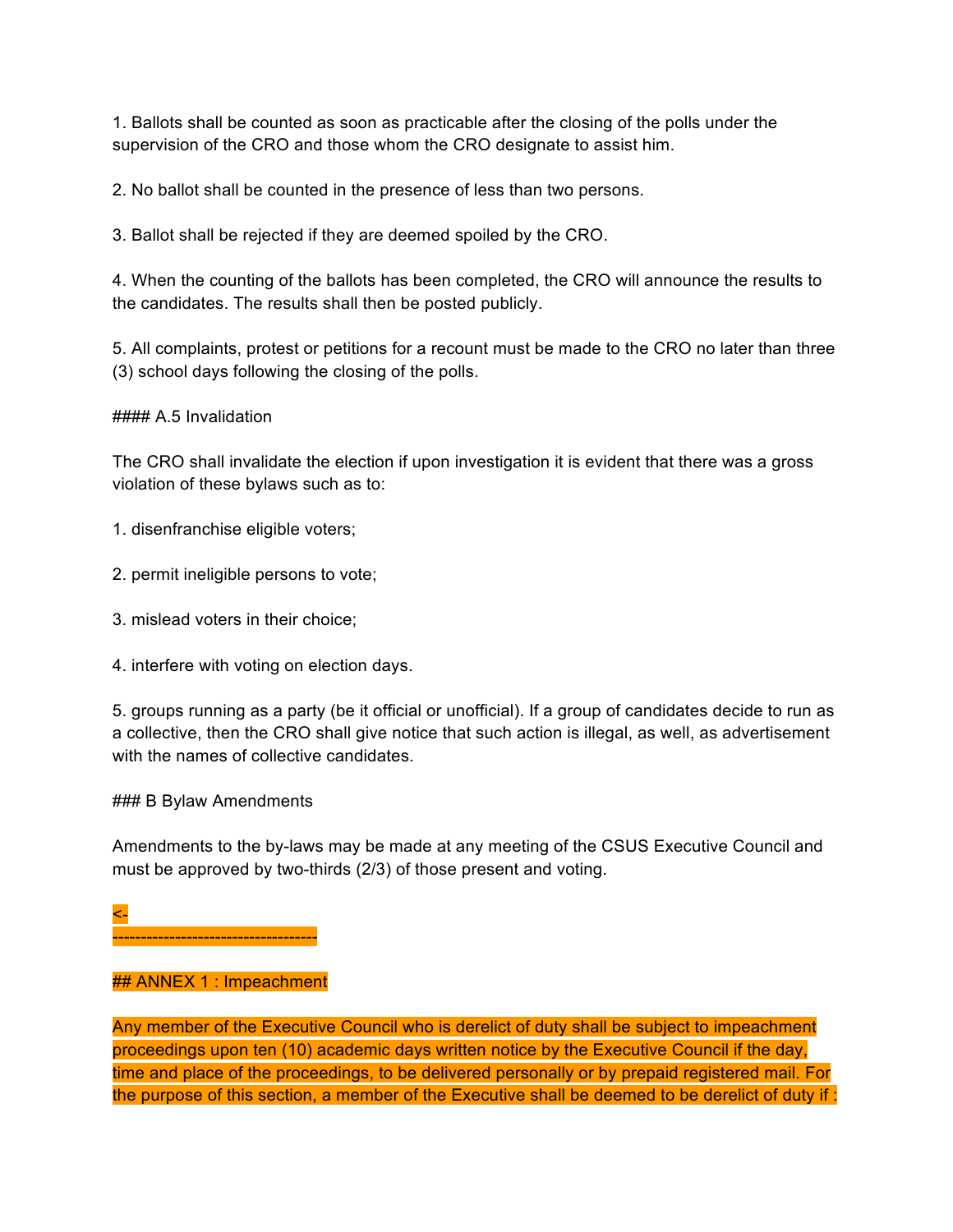1. Ballots shall be counted as soon as practicable after the closing of the polls under the supervision of the CRO and those whom the CRO designate to assist him.

2. No ballot shall be counted in the presence of less than two persons.

3. Ballot shall be rejected if they are deemed spoiled by the CRO.

4. When the counting of the ballots has been completed, the CRO will announce the results to the candidates. The results shall then be posted publicly.

5. All complaints, protest or petitions for a recount must be made to the CRO no later than three (3) school days following the closing of the polls.

#### A.5 Invalidation

The CRO shall invalidate the election if upon investigation it is evident that there was a gross violation of these bylaws such as to:

1. disenfranchise eligible voters;

- 2. permit ineligible persons to vote;
- 3. mislead voters in their choice;
- 4. interfere with voting on election days.

5. groups running as a party (be it official or unofficial). If a group of candidates decide to run as a collective, then the CRO shall give notice that such action is illegal, as well, as advertisement with the names of collective candidates.

### B Bylaw Amendments

Amendments to the by-laws may be made at any meeting of the CSUS Executive Council and must be approved by two-thirds (2/3) of those present and voting.

<-

------------------------------------

#### ## ANNEX 1 : Impeachment

Any member of the Executive Council who is derelict of duty shall be subject to impeachment proceedings upon ten (10) academic days written notice by the Executive Council if the day, time and place of the proceedings, to be delivered personally or by prepaid registered mail. For the purpose of this section, a member of the Executive shall be deemed to be derelict of duty if :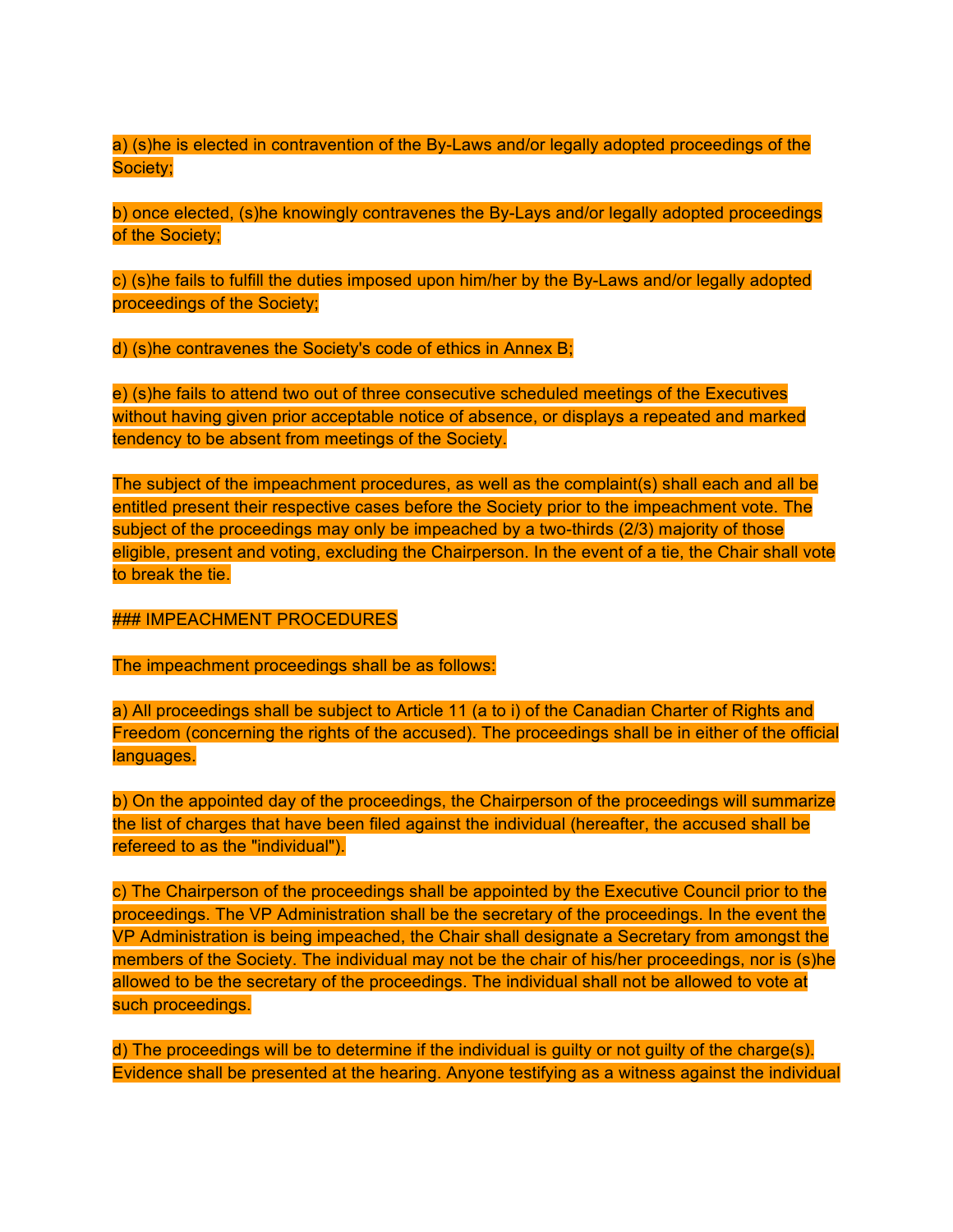a) (s)he is elected in contravention of the By-Laws and/or legally adopted proceedings of the Society;

b) once elected, (s)he knowingly contravenes the By-Lays and/or legally adopted proceedings of the Society;

c) (s)he fails to fulfill the duties imposed upon him/her by the By-Laws and/or legally adopted proceedings of the Society;

d) (s)he contravenes the Society's code of ethics in Annex B;

e) (s)he fails to attend two out of three consecutive scheduled meetings of the Executives without having given prior acceptable notice of absence, or displays a repeated and marked tendency to be absent from meetings of the Society.

The subject of the impeachment procedures, as well as the complaint(s) shall each and all be entitled present their respective cases before the Society prior to the impeachment vote. The subject of the proceedings may only be impeached by a two-thirds (2/3) majority of those eligible, present and voting, excluding the Chairperson. In the event of a tie, the Chair shall vote to break the tie.

### IMPEACHMENT PROCEDURES

The impeachment proceedings shall be as follows:

a) All proceedings shall be subject to Article 11 (a to i) of the Canadian Charter of Rights and Freedom (concerning the rights of the accused). The proceedings shall be in either of the official languages.

b) On the appointed day of the proceedings, the Chairperson of the proceedings will summarize the list of charges that have been filed against the individual (hereafter, the accused shall be refereed to as the "individual").

c) The Chairperson of the proceedings shall be appointed by the Executive Council prior to the proceedings. The VP Administration shall be the secretary of the proceedings. In the event the VP Administration is being impeached, the Chair shall designate a Secretary from amongst the members of the Society. The individual may not be the chair of his/her proceedings, nor is (s)he allowed to be the secretary of the proceedings. The individual shall not be allowed to vote at such proceedings.

d) The proceedings will be to determine if the individual is guilty or not guilty of the charge(s). Evidence shall be presented at the hearing. Anyone testifying as a witness against the individual